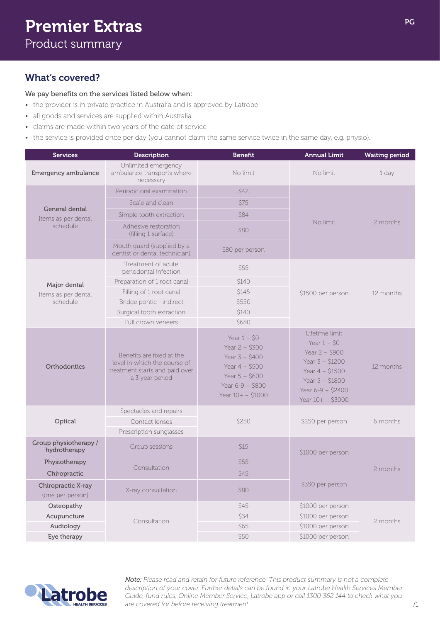## What's covered?

## We pay benefits on the services listed below when:

- the provider is in private practice in Australia and is approved by Latrobe
- all goods and services are supplied within Australia
- claims are made within two years of the date of service
- the service is provided once per day (you cannot claim the same service twice in the same day, e.g. physio).

| <b>Services</b>                                   | <b>Description</b>                                                                                             | <b>Benefit</b>                                                                                                                         | <b>Annual Limit</b>                                                                                                                                          | <b>Waiting period</b> |
|---------------------------------------------------|----------------------------------------------------------------------------------------------------------------|----------------------------------------------------------------------------------------------------------------------------------------|--------------------------------------------------------------------------------------------------------------------------------------------------------------|-----------------------|
| Emergency ambulance                               | Unlimited emergency<br>ambulance transports where<br>necessary                                                 | No limit                                                                                                                               | No limit                                                                                                                                                     | 1 day                 |
| General dental<br>Items as per dental<br>schedule | Periodic oral examination                                                                                      | \$42                                                                                                                                   | No limit                                                                                                                                                     | 2 months              |
|                                                   | Scale and clean                                                                                                | <i><b>\$75</b></i>                                                                                                                     |                                                                                                                                                              |                       |
|                                                   | Simple tooth extraction                                                                                        | <b>\$84</b>                                                                                                                            |                                                                                                                                                              |                       |
|                                                   | Adhesive restoration<br>(filling 1 surface)                                                                    | <b>\$80</b>                                                                                                                            |                                                                                                                                                              |                       |
|                                                   | Mouth guard (supplied by a<br>dentist or dental technician)                                                    | \$80 per person                                                                                                                        |                                                                                                                                                              |                       |
| Major dental<br>Items as per dental<br>schedule   | Treatment of acute<br>periodontal infection                                                                    | <b>S55</b>                                                                                                                             | \$1500 per person                                                                                                                                            | 12 months             |
|                                                   | Preparation of 1 root canal                                                                                    | \$140                                                                                                                                  |                                                                                                                                                              |                       |
|                                                   | Filling of 1 root canal                                                                                        | \$145                                                                                                                                  |                                                                                                                                                              |                       |
|                                                   | Bridge pontic -indirect                                                                                        | \$550                                                                                                                                  |                                                                                                                                                              |                       |
|                                                   | Surgical tooth extraction                                                                                      | <b>\$140</b>                                                                                                                           |                                                                                                                                                              |                       |
|                                                   | Full crown veneers                                                                                             | \$680                                                                                                                                  |                                                                                                                                                              |                       |
| Orthodontics                                      | Benefits are fixed at the<br>level in which the course of<br>treatment starts and paid over<br>a 3 year period | Year $1 - $0$<br>Year $2 - $300$<br>Year $3 - $400$<br>Year $4 - $500$<br>Year $5 - $600$<br>Year $6 - 9 - $800$<br>Year $10+ - $1000$ | Lifetime limit<br>Year $1 - $0$<br>Year $2 - $900$<br>Year $3 - $1200$<br>Year $4 - $1500$<br>Year $5 - $1800$<br>Year $6 - 9 - $2400$<br>Year $10+ - $3000$ | 12 months             |
|                                                   | Spectacles and repairs                                                                                         |                                                                                                                                        | \$250 per person                                                                                                                                             | 6 months              |
| Optical                                           | Contact lenses                                                                                                 | \$250                                                                                                                                  |                                                                                                                                                              |                       |
|                                                   | Prescription sunglasses                                                                                        |                                                                                                                                        |                                                                                                                                                              |                       |
| Group physiotherapy /<br>hydrotherapy             | Group sessions                                                                                                 | <i>S</i> 15                                                                                                                            | \$1000 per person                                                                                                                                            | 2 months              |
| Physiotherapy                                     | Consultation                                                                                                   | \$55                                                                                                                                   |                                                                                                                                                              |                       |
| Chiropractic                                      |                                                                                                                | \$45                                                                                                                                   | \$350 per person                                                                                                                                             |                       |
| Chiropractic X-ray<br>(one per person)            | X-ray consultation                                                                                             | \$80                                                                                                                                   |                                                                                                                                                              |                       |
| Osteopathy                                        | Consultation                                                                                                   | \$45                                                                                                                                   | \$1000 per person<br>\$1000 per person<br>2 months<br>\$1000 per person<br>\$1000 per person                                                                 |                       |
| Acupuncture                                       |                                                                                                                | \$34                                                                                                                                   |                                                                                                                                                              |                       |
| Audiology                                         |                                                                                                                | \$65                                                                                                                                   |                                                                                                                                                              |                       |
| Eye therapy                                       |                                                                                                                | \$50                                                                                                                                   |                                                                                                                                                              |                       |



*Note: Please read and retain for future reference. This product summary is not a complete description of your cover. Further details can be found in your Latrobe Health Services Member Guide, fund rules, Online Member Service, Latrobe app or call 1300 362 144 to check what you are covered for before receiving treatment.*